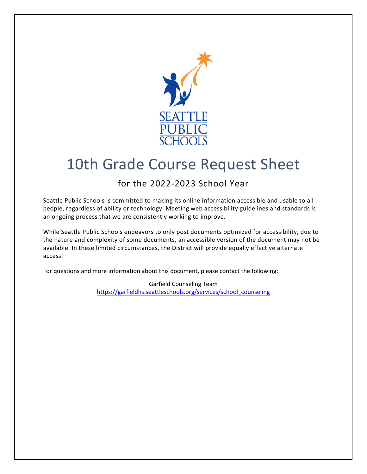

# 10th Grade Course Request Sheet

## for the 2022-2023 School Year

Seattle Public Schools is committed to making its online information accessible and usable to all people, regardless of ability or technology. Meeting web accessibility guidelines and standards is an ongoing process that we are consistently working to improve.

While Seattle Public Schools endeavors to only post documents optimized for accessibility, due to the nature and complexity of some documents, an accessible version of the document may not be available. In these limited circumstances, the District will provide equally effective alternate access.

For questions and more information about this document, please contact the following:

Garfield Counseling Team [https://garfieldhs.seattleschools.org/services/school\\_counseling](https://garfieldhs.seattleschools.org/services/school_counseling)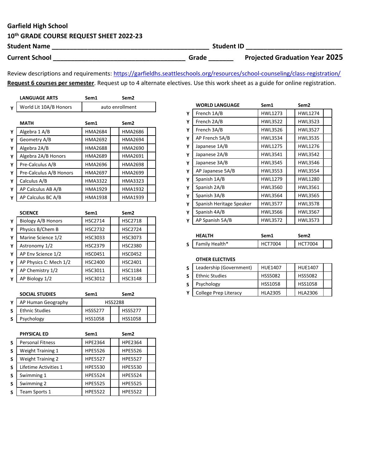### Garfield High School

## 10th GRADE COURSE REQUEST SHEET 2022-23

| <b>Student Name</b>   |       | <b>Student ID</b>                     |  |  |
|-----------------------|-------|---------------------------------------|--|--|
| <b>Current School</b> | Grade | <b>Projected Graduation Year 2025</b> |  |  |

Review descriptions and requirements: https://garfieldhs.seattleschools.org/resources/school-counseling/class-registration/ Request 6 courses per semester. Request up to 4 alternate electives. Use this work sheet as a guide for online registration.

|   | <b>LANGUAGE ARTS</b>    | Sem1           | Sem <sub>2</sub> |
|---|-------------------------|----------------|------------------|
| Υ | World Lit 10A/B Honors  |                | auto enrollment  |
|   |                         |                |                  |
|   | <b>MATH</b>             | Sem1           | Sem <sub>2</sub> |
| Υ | Algebra 1 A/B           | <b>HMA2684</b> | HMA2686          |
| Y | Geometry A/B            | HMA2692        | <b>HMA2694</b>   |
| Υ | Algebra 2A/B            | HMA2688        | HMA2690          |
| Y | Algebra 2A/B Honors     | <b>HMA2689</b> | HMA2691          |
| Y | Pre-Calculus A/B        | <b>HMA2696</b> | <b>HMA2698</b>   |
| Υ | Pre-Calculus A/B Honors | <b>HMA2697</b> | <b>HMA2699</b>   |
| Y | Calculus A/B            | <b>HMA3322</b> | HMA3323          |
| Y | AP Calculus AB A/B      | HMA1929        | HMA1932          |
| Υ | AP Calculus BC A/B      | <b>HMA1938</b> | HMA1939          |
|   |                         |                |                  |
|   | <b>SCIENCE</b>          | Sem1           | Sem <sub>2</sub> |
| Υ | Biology A/B Honors      | <b>HSC2714</b> | <b>HSC2718</b>   |
| Y | Physics B/Chem B        | <b>HSC2732</b> | <b>HSC2724</b>   |
| Y | Marine Science 1/2      | HSC3033        | HSC3073          |
| Y | Astronomy 1/2           | <b>HSC2379</b> | <b>HSC2380</b>   |
| Y | AP Env Science 1/2      | <b>HSC0451</b> | <b>HSC0452</b>   |

|   | AP Human Geography     |                | <b>HSS2288</b>   |  |
|---|------------------------|----------------|------------------|--|
|   | <b>SOCIAL STUDIES</b>  | Sem1           | Sem <sub>2</sub> |  |
|   | AP Biology 1/2         | HSC3012        | <b>HSC3148</b>   |  |
| Υ | AP Chemistry 1/2       | HSC3011        | <b>HSC1184</b>   |  |
|   | AP Physics C: Mech 1/2 | <b>HSC2400</b> | <b>HSC2401</b>   |  |

| S            | <b>Ethnic Studies</b>       | <b>HSS5277</b> | <b>HSS5277</b>   |  |
|--------------|-----------------------------|----------------|------------------|--|
| $\mathsf{s}$ | Psychology                  | HSS1058        | HSS1058          |  |
|              |                             |                |                  |  |
|              | <b>PHYSICAL ED</b>          | Sem1           | Sem <sub>2</sub> |  |
| S            | <b>Personal Fitness</b>     | <b>HPE2364</b> | <b>HPE2364</b>   |  |
| S            | <b>Weight Training 1</b>    | <b>HPE5526</b> | <b>HPE5526</b>   |  |
| S            | <b>Weight Training 2</b>    | <b>HPE5527</b> | <b>HPE5527</b>   |  |
| $\epsilon$   | <b>ifetime Activities 1</b> | HPF5530        | <b>HPF5530</b>   |  |

| S. | Lifetime Activities 1 | HPE5530        | <b>HPE5530</b> |  |
|----|-----------------------|----------------|----------------|--|
| S. | Swimming 1            | <b>HPE5524</b> | <b>HPE5524</b> |  |
| S. | Swimming 2            | <b>HPE5525</b> | <b>HPE5525</b> |  |
| S. | Team Sports 1         | <b>HPE5522</b> | <b>HPE5522</b> |  |

|   | <b>WORLD LANGUAGE</b>    | Sem1           | Sem <sub>2</sub> |
|---|--------------------------|----------------|------------------|
| Ÿ | French 1A/B              | <b>HWL1273</b> | <b>HWL1274</b>   |
| Υ | French 2A/B              | <b>HWL3522</b> | HWL3523          |
| Υ | French 3A/B              | HWL3526        | <b>HWL3527</b>   |
| Υ | AP French 5A/B           | <b>HWL3534</b> | <b>HWL3535</b>   |
| Y | Japanese 1A/B            | <b>HWL1275</b> | HWL1276          |
| Y | Japanese 2A/B            | HWL3541        | <b>HWL3542</b>   |
| Y | Japanese 3A/B            | <b>HWL3545</b> | <b>HWL3546</b>   |
| Y | AP Japanese 5A/B         | HWL3553        | <b>HWL3554</b>   |
| Y | Spanish 1A/B             | HWL1279        | <b>HWL1280</b>   |
| Y | Spanish 2A/B             | HWL3560        | HWL3561          |
| Y | Spanish 3A/B             | <b>HWL3564</b> | <b>HWL3565</b>   |
| Υ | Spanish Heritage Speaker | <b>HWL3577</b> | <b>HWL3578</b>   |
| Y | Spanish 4A/B             | <b>HWL3566</b> | HWL3567          |
| Υ | AP Spanish 5A/B          | <b>HWL3572</b> | <b>HWL3573</b>   |
|   | <b>HEALTH</b>            | Sem1           | Sem <sub>2</sub> |

|     | 668.IR         | эетт  | semz           |  |
|-----|----------------|-------|----------------|--|
| s l | Family Health* | T7004 | <b>HCT7004</b> |  |
|     |                |       |                |  |

#### OTHER ELECTIVES

| S | Leadership (Government)      | <b>HUE1407</b> | HUE1407        |  |
|---|------------------------------|----------------|----------------|--|
| S | <b>Ethnic Studies</b>        | <b>HSS5082</b> | <b>HSS5082</b> |  |
| S | Psychology                   | <b>HSS1058</b> | <b>HSS1058</b> |  |
|   | <b>College Prep Literacy</b> | <b>HLA2305</b> | <b>HLA2306</b> |  |